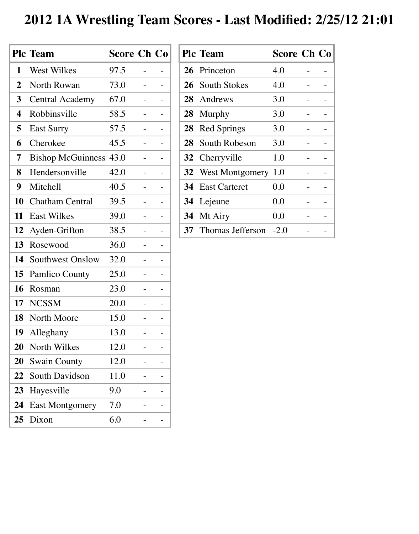## **2012 1A Wrestling Team Scores - Last Modified: 2/25/12 21:01**

|                  | <b>Plc Team</b>          | <b>Score Ch Co</b> |  |
|------------------|--------------------------|--------------------|--|
| 1                | West Wilkes              | 97.5               |  |
| $\boldsymbol{2}$ | North Rowan              | 73.0               |  |
| 3 <sup>1</sup>   | <b>Central Academy</b>   | 67.0               |  |
| 4                | Robbinsville             | 58.5               |  |
| 5                | <b>East Surry</b>        | 57.5               |  |
| 6                | Cherokee                 | 45.5               |  |
| 7                | <b>Bishop McGuinness</b> | 43.0               |  |
| 8                | Hendersonville           | 42.0               |  |
| 9                | Mitchell                 | 40.5               |  |
| 10               | <b>Chatham Central</b>   | 39.5               |  |
| 11               | <b>East Wilkes</b>       | 39.0               |  |
| 12               | Ayden-Grifton            | 38.5               |  |
| 13               | Rosewood                 | 36.0               |  |
| 14               | Southwest Onslow         | 32.0               |  |
| 15               | <b>Pamlico County</b>    | 25.0               |  |
| 16               | Rosman                   | 23.0               |  |
| 17               | <b>NCSSM</b>             | 20.0               |  |
| 18               | North Moore              | 15.0               |  |
| 19               | Alleghany                | 13.0               |  |
| <b>20</b>        | North Wilkes             | 12.0               |  |
| 20               | <b>Swain County</b>      | 12.0               |  |
| 22               | <b>South Davidson</b>    | 11.0               |  |
| 23               | Hayesville               | 9.0                |  |
| 24               | <b>East Montgomery</b>   | 7.0                |  |
| 25               | Dixon                    | 6.0                |  |

|    | <b>Plc Team</b>            | <b>Score Ch Co</b> |  |
|----|----------------------------|--------------------|--|
|    | 26 Princeton               | 4.0                |  |
|    | 26 South Stokes            | 4.0                |  |
|    | 28 Andrews                 | 3.0                |  |
|    | 28 Murphy                  | 3.0                |  |
| 28 | <b>Red Springs</b>         | 3.0                |  |
|    | 28 South Robeson           | 3.0                |  |
|    | 32 Cherryville             | 1.0                |  |
|    | <b>32</b> West Montgomery  | 1.0                |  |
|    | <b>34</b> East Carteret    | 0.0                |  |
| 34 | Lejeune                    | 0.0                |  |
|    | 34 Mt Airy                 | 0.0                |  |
|    | <b>37</b> Thomas Jefferson | $-2.0$             |  |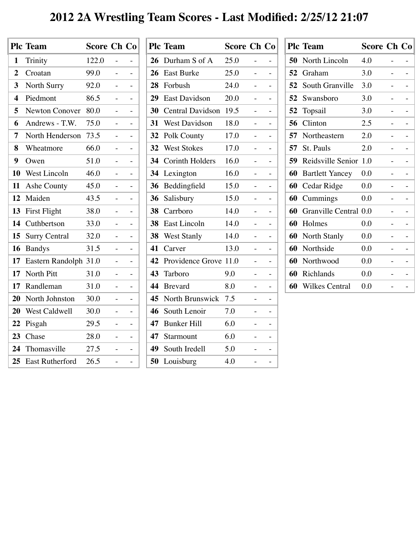## **2012 2A Wrestling Team Scores - Last Modified: 2/25/12 21:07**

|                | <b>Plc Team</b>        | <b>Score Ch Co</b> |  |
|----------------|------------------------|--------------------|--|
| 1              | Trinity                | 122.0              |  |
| $\overline{2}$ | Croatan                | 99.0               |  |
| $\mathbf{3}$   | <b>North Surry</b>     | 92.0               |  |
| 4              | Piedmont               | 86.5               |  |
| 5              | <b>Newton Conover</b>  | 80.0               |  |
| 6              | Andrews - T.W.         | 75.0               |  |
| 7              | North Henderson        | 73.5               |  |
| 8              | Wheatmore              | 66.0               |  |
| 9              | Owen                   | 51.0               |  |
| 10             | West Lincoln           | 46.0               |  |
| 11             | Ashe County            | 45.0               |  |
| 12             | Maiden                 | 43.5               |  |
| 13             | First Flight           | 38.0               |  |
| 14             | Cuthbertson            | 33.0               |  |
| 15             | <b>Surry Central</b>   | 32.0               |  |
| 16             | <b>Bandys</b>          | 31.5               |  |
| 17             | Eastern Randolph 31.0  |                    |  |
| 17             | North Pitt             | 31.0               |  |
| 17             | Randleman              | 31.0               |  |
| 20             | North Johnston         | 30.0               |  |
| 20             | West Caldwell          | 30.0               |  |
| <u>22</u>      | Pisgah                 | 29.5               |  |
| 23             | Chase                  | 28.0               |  |
| 24             | Thomasville            | 27.5               |  |
| 25             | <b>East Rutherford</b> | 26.5               |  |

| <b>Plc Team</b>         |      |                                                 |                    |
|-------------------------|------|-------------------------------------------------|--------------------|
| Durham S of A           | 25.0 |                                                 |                    |
| <b>East Burke</b>       | 25.0 |                                                 |                    |
| Forbush                 | 24.0 |                                                 |                    |
| <b>East Davidson</b>    | 20.0 |                                                 |                    |
| <b>Central Davidson</b> | 19.5 |                                                 |                    |
| <b>West Davidson</b>    | 18.0 |                                                 |                    |
| <b>Polk County</b>      | 17.0 |                                                 |                    |
| <b>West Stokes</b>      | 17.0 |                                                 |                    |
| <b>Corinth Holders</b>  | 16.0 |                                                 |                    |
| Lexington               | 16.0 |                                                 |                    |
| Beddingfield            | 15.0 |                                                 | Ξ.                 |
| Salisbury               | 15.0 |                                                 |                    |
| Carrboro                | 14.0 |                                                 |                    |
| <b>East Lincoln</b>     | 14.0 |                                                 |                    |
| <b>West Stanly</b>      | 14.0 |                                                 |                    |
| Carver                  | 13.0 |                                                 |                    |
|                         |      |                                                 |                    |
| Tarboro                 | 9.0  |                                                 |                    |
| <b>B</b> revard         | 8.0  |                                                 |                    |
|                         |      |                                                 |                    |
| South Lenoir            | 7.0  |                                                 |                    |
| <b>Bunker Hill</b>      | 6.0  |                                                 |                    |
| Starmount               | 6.0  |                                                 |                    |
| 49<br>South Iredell     | 5.0  |                                                 |                    |
| 50<br>Louisburg         | 4.0  |                                                 |                    |
|                         |      | 42 Providence Grove 11.0<br>North Brunswick 7.5 | <b>Score Ch Co</b> |

|    | <b>Plc Team</b>          | <b>Score Ch Co</b> |  |
|----|--------------------------|--------------------|--|
| 50 | North Lincoln            | 4.0                |  |
| 52 | Graham                   | 3.0                |  |
| 52 | South Granville          | 3.0                |  |
| 52 | Swansboro                | 3.0                |  |
| 52 | Topsail                  | 3.0                |  |
| 56 | Clinton                  | 2.5                |  |
| 57 | Northeastern             | 2.0                |  |
| 57 | St. Pauls                | 2.0                |  |
| 59 | Reidsville Senior        | 1.0                |  |
| 60 | <b>Bartlett Yancey</b>   | 0.0                |  |
| 60 | Cedar Ridge              | 0.0                |  |
| 60 | Cummings                 | 0.0                |  |
| 60 | <b>Granville Central</b> | 0.0                |  |
| 60 | Holmes                   | 0.0                |  |
| 60 | <b>North Stanly</b>      | 0.0                |  |
| 60 | Northside                | 0.0                |  |
| 60 | Northwood                | 0.0                |  |
| 60 | Richlands                | 0.0                |  |
| 60 | <b>Wilkes Central</b>    | 0.0                |  |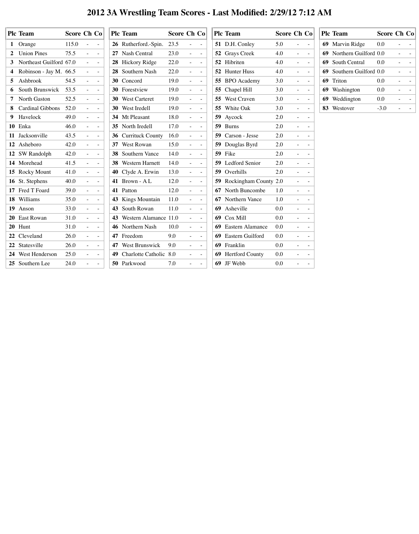## **2012 3A Wrestling Team Scores - Last Modified: 2/29/12 7:12 AM**

<u> 1980 - Johann Barbara, martxa alemaniar a</u>

| <b>Plc Team</b>         | Score Ch Co |                                                   |            | <b>Plc Team</b>            |      | Score Ch Co                     |               | <b>Plc Team</b>                 | Score Ch Co |                          |                                         | <b>Plc Team</b>          |         | Score Ch Co |
|-------------------------|-------------|---------------------------------------------------|------------|----------------------------|------|---------------------------------|---------------|---------------------------------|-------------|--------------------------|-----------------------------------------|--------------------------|---------|-------------|
| 1 Orange                | 115.0       | $\equiv$                                          | $\sim$     | 26 Rutherford.-Spin.       | 23.5 | $\equiv$                        | $\sim$        | 51 D.H. Conley                  | 5.0         | $\sim$                   | $\sim$                                  | 69 Marvin Ridge          | 0.0     |             |
| 2 Union Pines           | 75.5        | $\equiv$                                          | $\sim$     | 27 Nash Central            | 23.0 | $\equiv$                        | $\sim$        | <b>52</b> Grays Creek           | 4.0         | $\sim$                   | $\sim$ $-$                              | 69 Northern Guilford 0.0 |         |             |
| Northeast Guilford 67.0 |             | $\frac{1}{2}$ and $\frac{1}{2}$ and $\frac{1}{2}$ |            | 28 Hickory Ridge           | 22.0 | $\equiv$                        | $\sim$        | <b>52</b> Hibriten              | 4.0         | $\sim$                   | $\sim 100$                              | 69 South Central         | 0.0     |             |
| Robinson - Jay M. 66.5  |             | $\sim$                                            | $\sim$     | 28 Southern Nash           | 22.0 | $\equiv$ .                      | $\sim$        | <b>52</b> Hunter Huss           | 4.0         | $\sim$                   | $\sim 100$                              | 69 Southern Guilford 0.0 |         |             |
| Ashbrook                | 54.5        | ÷.                                                | $\sim$     | 30 Concord                 | 19.0 | $\equiv$                        | $\equiv$      | 55 BPO Academy                  | 3.0         | $\sim$                   |                                         | 69 Triton                | 0.0     |             |
| <b>South Brunswick</b>  | 53.5        | $\equiv$                                          | $\sim$     | 30 Forestview              | 19.0 | ÷,                              | $\equiv$      | 55 Chapel Hill                  | 3.0         | $\blacksquare$           | $\sim$ $-$                              | 69 Washington            | $0.0\,$ |             |
| North Gaston            | 52.5        | $\sim$                                            | $\sim$     | 30 West Carteret           | 19.0 | $\sim$                          | $\equiv$      | 55 West Craven                  | 3.0         | $\sim$                   | $\mathcal{L}^{\text{max}}_{\text{max}}$ | 69 Weddington            | 0.0     |             |
| <b>Cardinal Gibbons</b> | 52.0        | $\frac{1}{2}$                                     | $\sim$     | 30 West Iredell            | 19.0 | $\overline{\phantom{a}}$        | $\sim$        | 55 White Oak                    | 3.0         | $\equiv$                 | $\alpha_{\rm c}$ and $\alpha_{\rm c}$   | 83 Westover              | $-3.0$  |             |
| 9 Havelock              | 49.0        | $\equiv$                                          | $\sim$ $-$ | 34 Mt Pleasant             | 18.0 | $\equiv$                        | $\sim$        | 59 Aycock                       | 2.0         | $\equiv$                 | $\sim$                                  |                          |         |             |
| 10 Enka                 | 46.0        | $\frac{1}{2}$                                     | $\sim$     | 35 North Iredell           | 17.0 | $\equiv$ .                      | $\sim$        | 59 Burns                        | 2.0         | $\sim$                   | $\overline{\phantom{a}}$                |                          |         |             |
| 11 Jacksonville         | 43.5        | $\blacksquare$                                    | $\sim$     | <b>36</b> Currituck County | 16.0 | $\overline{\phantom{a}}$        | $\sim$        | <b>59</b> Carson - Jesse        | 2.0         | $\sim$                   |                                         |                          |         |             |
| 12 Asheboro             | 42.0        | $\equiv$                                          | $\sim$     | 37 West Rowan              | 15.0 | $\equiv$                        | $\sim$        | <b>59</b> Douglas Byrd          | 2.0         | $\sim$                   |                                         |                          |         |             |
| 12 SW Randolph          | 42.0        | $\equiv$                                          | $\sim$     | <b>38</b> Southern Vance   | 14.0 | $\sim$                          | $\equiv$      | 59 Fike                         | 2.0         |                          |                                         |                          |         |             |
| 14 Morehead             | 41.5        | $\equiv$                                          | $\sim$     | <b>38</b> Western Harnett  | 14.0 | $\equiv$                        | $\sim$        | <b>59</b> Ledford Senior        | 2.0         | $\overline{\phantom{a}}$ |                                         |                          |         |             |
| 15 Rocky Mount          | 41.0        | $\equiv$                                          | $\sim$     | 40 Clyde A. Erwin          | 13.0 | $\equiv$                        | $\frac{1}{2}$ | 59 Overhills                    | 2.0         |                          |                                         |                          |         |             |
| 16 St. Stephens         | 40.0        | $\equiv$                                          | $\sim$     | 41 Brown - AL              | 12.0 | $\blacksquare$                  | $\sim$        | <b>59</b> Rockingham County 2.0 |             |                          |                                         |                          |         |             |
| 17 Fred T Foard         | 39.0        |                                                   |            | 41 Patton                  | 12.0 |                                 |               | <b>67</b> North Buncombe        | 1.0         |                          |                                         |                          |         |             |
| 18 Williams             | 35.0        | ÷                                                 | $\equiv$   | 43 Kings Mountain          | 11.0 | $\blacksquare$                  | $\sim$        | <b>67</b> Northern Vance        | 1.0         |                          |                                         |                          |         |             |
| 19 Anson                | 33.0        | $\frac{1}{2}$                                     | $\sim$     | <b>43</b> South Rowan      | 11.0 | $\equiv$                        | $\sim$        | 69 Asheville                    | $0.0\,$     | $\blacksquare$           | $\sim$                                  |                          |         |             |
| 20 East Rowan           | 31.0        | $\overline{\phantom{0}}$                          | $\sim$     | 43 Western Alamance 11.0   |      | $\frac{1}{2}$ and $\frac{1}{2}$ | $\sim$        | 69 Cox Mill                     | $0.0\,$     | $\sim$                   |                                         |                          |         |             |
| 20 Hunt                 | 31.0        | $\equiv$                                          | $\sim$     | 46 Northern Nash           | 10.0 | $\sim$                          | $\sim$        | <b>69</b> Eastern Alamance      | 0.0         | $\overline{\phantom{a}}$ |                                         |                          |         |             |
| 22 Cleveland            | 26.0        | $\equiv$                                          | $\sim$     | 47 Freedom                 | 9.0  | $\frac{1}{2}$ and $\frac{1}{2}$ | $\sim$        | <b>69</b> Eastern Guilford      | $0.0\,$     | $\overline{\phantom{a}}$ |                                         |                          |         |             |
| 22 Statesville          | 26.0        | $\sim$                                            | $\sim$     | 47 West Brunswick          | 9.0  | $\sim$ .                        | $\sim$        | 69 Franklin                     | $0.0\,$     | $\equiv$                 |                                         |                          |         |             |
| 24 West Henderson       | 25.0        | $\sim$                                            | $\sim$     | 49 Charlotte Catholic 8.0  |      | $\sim 10^{-10}$                 | $\sim$        | <b>69</b> Hertford County       | $0.0\,$     | $\sim$                   |                                         |                          |         |             |
| 25 Southern Lee         | 24.0        | $\equiv$                                          | $\sim$     | 50 Parkwood                | 7.0  | $\sim$                          | $\sim$        | 69 JF Webb                      | $0.0\,$     | $\blacksquare$           | $\sim$                                  |                          |         |             |
|                         |             |                                                   |            |                            |      |                                 |               |                                 |             |                          |                                         |                          |         |             |